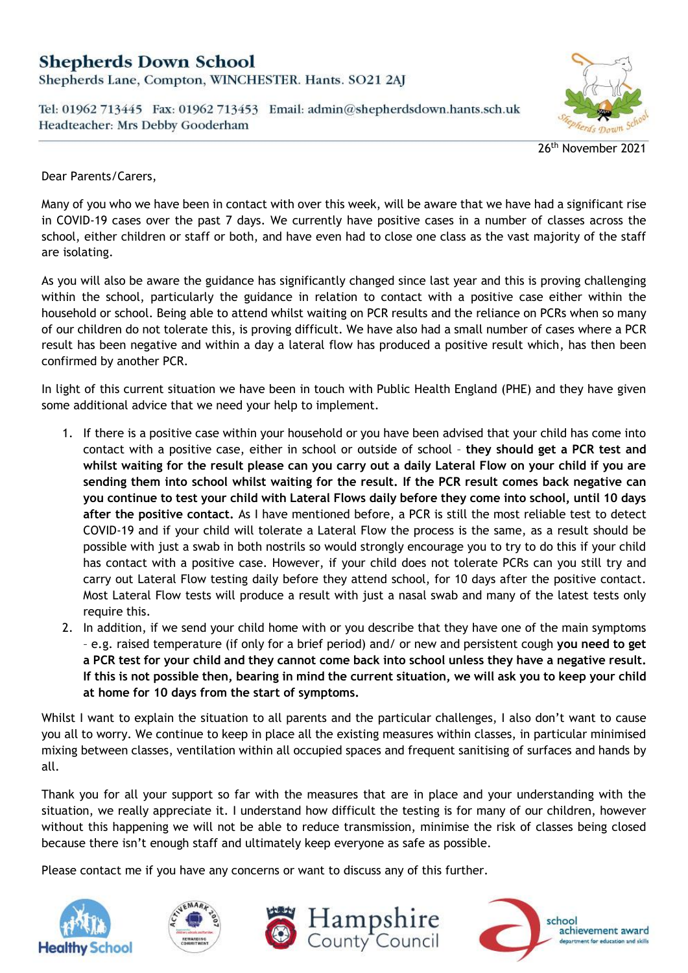## **Shepherds Down School**

Shepherds Lane, Compton, WINCHESTER. Hants. SO21 2AJ

Tel: 01962 713445 Fax: 01962 713453 Email: admin@shepherdsdown.hants.sch.uk Headteacher: Mrs Debby Gooderham



26th November 2021

Dear Parents/Carers,

Many of you who we have been in contact with over this week, will be aware that we have had a significant rise in COVID-19 cases over the past 7 days. We currently have positive cases in a number of classes across the school, either children or staff or both, and have even had to close one class as the vast majority of the staff are isolating.

As you will also be aware the guidance has significantly changed since last year and this is proving challenging within the school, particularly the guidance in relation to contact with a positive case either within the household or school. Being able to attend whilst waiting on PCR results and the reliance on PCRs when so many of our children do not tolerate this, is proving difficult. We have also had a small number of cases where a PCR result has been negative and within a day a lateral flow has produced a positive result which, has then been confirmed by another PCR.

In light of this current situation we have been in touch with Public Health England (PHE) and they have given some additional advice that we need your help to implement.

- 1. If there is a positive case within your household or you have been advised that your child has come into contact with a positive case, either in school or outside of school – **they should get a PCR test and whilst waiting for the result please can you carry out a daily Lateral Flow on your child if you are sending them into school whilst waiting for the result. If the PCR result comes back negative can you continue to test your child with Lateral Flows daily before they come into school, until 10 days after the positive contact.** As I have mentioned before, a PCR is still the most reliable test to detect COVID-19 and if your child will tolerate a Lateral Flow the process is the same, as a result should be possible with just a swab in both nostrils so would strongly encourage you to try to do this if your child has contact with a positive case. However, if your child does not tolerate PCRs can you still try and carry out Lateral Flow testing daily before they attend school, for 10 days after the positive contact. Most Lateral Flow tests will produce a result with just a nasal swab and many of the latest tests only require this.
- 2. In addition, if we send your child home with or you describe that they have one of the main symptoms – e.g. raised temperature (if only for a brief period) and/ or new and persistent cough **you need to get a PCR test for your child and they cannot come back into school unless they have a negative result. If this is not possible then, bearing in mind the current situation, we will ask you to keep your child at home for 10 days from the start of symptoms.**

Whilst I want to explain the situation to all parents and the particular challenges, I also don't want to cause you all to worry. We continue to keep in place all the existing measures within classes, in particular minimised mixing between classes, ventilation within all occupied spaces and frequent sanitising of surfaces and hands by all.

Thank you for all your support so far with the measures that are in place and your understanding with the situation, we really appreciate it. I understand how difficult the testing is for many of our children, however without this happening we will not be able to reduce transmission, minimise the risk of classes being closed because there isn't enough staff and ultimately keep everyone as safe as possible.

Please contact me if you have any concerns or want to discuss any of this further.







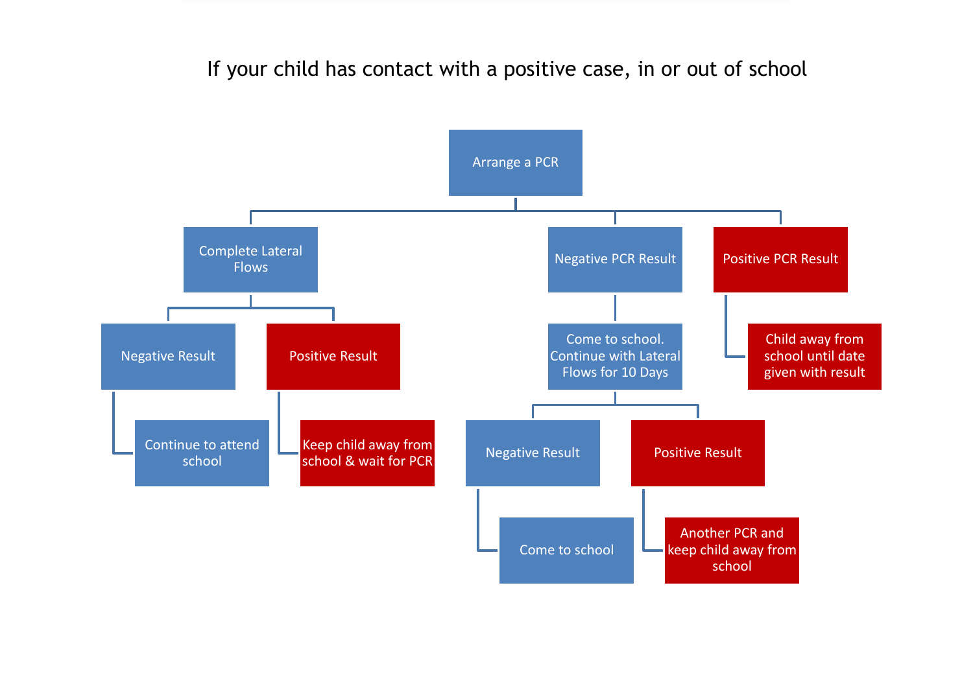If your child has contact with a positive case, in or out of school